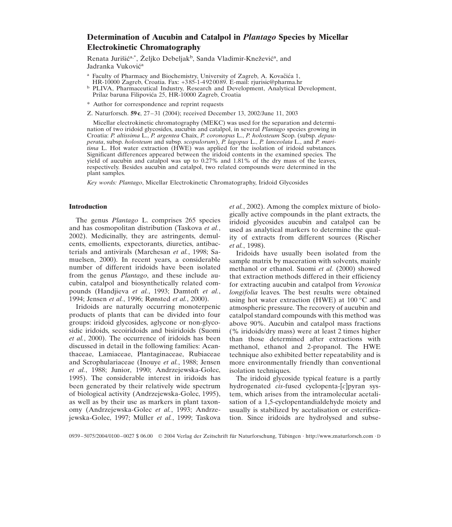# **Determination of Aucubin and Catalpol in** *Plantago* **Species by Micellar Electrokinetic Chromatography**

Renata Jurišić<sup>a,\*</sup>, Željko Debeljak<sup>b</sup>, Sanda Vladimir-Knežević<sup>a</sup>, and Jadranka Vuković<sup>a</sup>

- <sup>a</sup> Faculty of Pharmacy and Biochemistry, University of Zagreb, A. Kovačića 1, HR-10000 Zagreb, Croatia. Fax: +385-1-4920089. E-mail: rjurisic@pharma.hr
- <sup>b</sup> PLIVA, Pharmaceutical Industry, Research and Development, Analytical Development, Prilaz baruna Filipovića 25, HR-10000 Zagreb, Croatia
- \* Author for correspondence and reprint requests
- Z. Naturforsch. **59c**, 27–31 (2004); received December 13, 2002/June 11, 2003

Micellar electrokinetic chromatography (MEKC) was used for the separation and determination of two iridoid glycosides, aucubin and catalpol, in several *Plantago* species growing in Croatia: *P. altissima* L., *P. argentea* Chaix, *P. coronopus* L., *P. holosteum* Scop. (subsp. *depauperata*, subsp. *holosteum* and subsp. *scopulorum*), *P. lagopus* L., *P. lanceolata* L., and *P. maritima* L. Hot water extraction (HWE) was applied for the isolation of iridoid substances. Significant differences appeared between the iridoid contents in the examined species. The yield of aucubin and catalpol was up to 0.27% and 1.81% of the dry mass of the leaves, respectively. Besides aucubin and catalpol, two related compounds were determined in the plant samples.

*Key words: Plantago*, Micellar Electrokinetic Chromatography, Iridoid Glycosides

## **Introduction**

The genus *Plantago* L. comprises 265 species and has cosmopolitan distribution (Taskova *et al.*, 2002). Medicinally, they are astringents, demulcents, emollients, expectorants, diuretics, antibacterials and antivirals (Marchesan *et al.*, 1998; Samuelsen, 2000). In recent years, a considerable number of different iridoids have been isolated from the genus *Plantago*, and these include aucubin, catalpol and biosynthetically related compounds (Handjieva *et al.*, 1993; Damtoft *et al.*, 1994; Jensen *et al.*, 1996; Rønsted *et al.*, 2000).

Iridoids are naturally occurring monoterpenic products of plants that can be divided into four groups: iridoid glycosides, aglycone or non-glycosidic iridoids, secoiridoids and bisiridoids (Suomi *et al.*, 2000). The occurrence of iridoids has been discussed in detail in the following families: Acanthaceae, Lamiaceae, Plantaginaceae, Rubiaceae and Scrophulariaceae (Inouye *et al.*, 1988; Jensen *et al.*, 1988; Junior, 1990; Andrzejewska-Golec, 1995). The considerable interest in iridoids has been generated by their relatively wide spectrum of biological activity (Andrzejewska-Golec, 1995), as well as by their use as markers in plant taxonomy (Andrzejewska-Golec *et al.*, 1993; Andrzejewska-Golec, 1997; Müller *et al.*, 1999; Taskova

*et al.*, 2002). Among the complex mixture of biologically active compounds in the plant extracts, the iridoid glycosides aucubin and catalpol can be used as analytical markers to determine the quality of extracts from different sources (Rischer *et al.*, 1998).

Iridoids have usually been isolated from the sample matrix by maceration with solvents, mainly methanol or ethanol. Suomi *et al.* (2000) showed that extraction methods differed in their efficiency for extracting aucubin and catalpol from *Veronica longifolia* leaves. The best results were obtained using hot water extraction (HWE) at  $100^{\circ}$ C and atmospheric pressure. The recovery of aucubin and catalpol standard compounds with this method was above 90%. Aucubin and catalpol mass fractions (% iridoids/dry mass) were at least 2 times higher than those determined after extractions with methanol, ethanol and 2-propanol. The HWE technique also exhibited better repeatability and is more environmentally friendly than conventional isolation techniques.

The iridoid glycoside typical feature is a partly hydrogenated *cis*-fused cyclopenta-[*c*]pyran system, which arises from the intramolecular acetalisation of a 1,5-cyclopentandialdehyde moiety and usually is stabilized by acetalisation or esterification. Since iridoids are hydrolysed and subse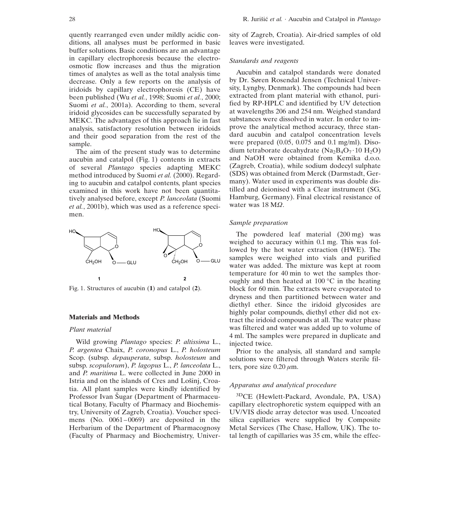quently rearranged even under mildly acidic conditions, all analyses must be performed in basic buffer solutions. Basic conditions are an advantage in capillary electrophoresis because the electroosmotic flow increases and thus the migration times of analytes as well as the total analysis time decrease. Only a few reports on the analysis of iridoids by capillary electrophoresis (CE) have been published (Wu *et al.*, 1998; Suomi *et al.*, 2000; Suomi *et al.*, 2001a). According to them, several iridoid glycosides can be successfully separated by MEKC. The advantages of this approach lie in fast analysis, satisfactory resolution between iridoids and their good separation from the rest of the sample.

The aim of the present study was to determine aucubin and catalpol (Fig. 1) contents in extracts of several *Plantago* species adapting MEKC method introduced by Suomi *et al.* (2000). Regarding to aucubin and catalpol contents, plant species examined in this work have not been quantitatively analysed before, except *P. lanceolata* (Suomi *et al.*, 2001b), which was used as a reference specimen.



Fig. 1. Structures of aucubin (**1**) and catalpol (**2**).

### **Materials and Methods**

#### *Plant material*

Wild growing *Plantago* species: *P. altissima* L., *P. argentea* Chaix, *P. coronopus* L., *P. holosteum* Scop. (subsp. *depauperata*, subsp. *holosteum* and subsp. *scopulorum*), *P. lagopus* L., *P. lanceolata* L., and *P. maritima* L. were collected in June 2000 in Istria and on the islands of Cres and Lošinj, Croatia. All plant samples were kindly identified by Professor Ivan Sugar (Department of Pharmaceutical Botany, Faculty of Pharmacy and Biochemistry, University of Zagreb, Croatia). Voucher specimens (No.  $0061-0069$ ) are deposited in the Herbarium of the Department of Pharmacognosy (Faculty of Pharmacy and Biochemistry, University of Zagreb, Croatia). Air-dried samples of old leaves were investigated.

#### *Standards and reagents*

Aucubin and catalpol standards were donated by Dr. Søren Rosendal Jensen (Technical University, Lyngby, Denmark). The compounds had been extracted from plant material with ethanol, purified by RP-HPLC and identified by UV detection at wavelengths 206 and 254 nm. Weighed standard substances were dissolved in water. In order to improve the analytical method accuracy, three standard aucubin and catalpol concentration levels were prepared (0.05, 0.075 and 0.1 mg/ml). Disodium tetraborate decahydrate (Na<sub>2</sub>B<sub>4</sub>O<sub>7</sub> $\cdot$ 10 H<sub>2</sub>O) and NaOH were obtained from Kemika d.o.o. (Zagreb, Croatia), while sodium dodecyl sulphate (SDS) was obtained from Merck (Darmstadt, Germany). Water used in experiments was double distilled and deionised with a Clear instrument (SG, Hamburg, Germany). Final electrical resistance of water was 18 MΩ.

#### *Sample preparation*

The powdered leaf material (200 mg) was weighed to accuracy within 0.1 mg. This was followed by the hot water extraction (HWE). The samples were weighed into vials and purified water was added. The mixture was kept at room temperature for 40 min to wet the samples thoroughly and then heated at  $100^{\circ}$ C in the heating block for 60 min. The extracts were evaporated to dryness and then partitioned between water and diethyl ether. Since the iridoid glycosides are highly polar compounds, diethyl ether did not extract the iridoid compounds at all. The water phase was filtered and water was added up to volume of 4 ml. The samples were prepared in duplicate and injected twice.

Prior to the analysis, all standard and sample solutions were filtered through Waters sterile filters, pore size  $0.20 \mu m$ .

# *Apparatus and analytical procedure*

3DCE (Hewlett-Packard, Avondale, PA, USA) capillary electrophoretic system equipped with an UV/VIS diode array detector was used. Uncoated silica capillaries were supplied by Composite Metal Services (The Chase, Hallow, UK). The total length of capillaries was 35 cm, while the effec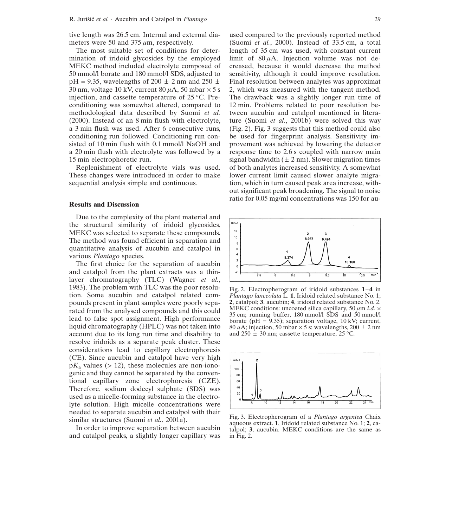tive length was 26.5 cm. Internal and external diameters were 50 and 375  $\mu$ m, respectively.

The most suitable set of conditions for determination of iridoid glycosides by the employed MEKC method included electrolyte composed of 50 mmol/l borate and 180 mmol/l SDS, adjusted to  $pH = 9.35$ , wavelengths of 200  $\pm$  2 nm and 250  $\pm$ 30 nm, voltage 10 kV, current 80  $\mu$ A, 50 mbar  $\times$  5 s injection, and cassette temperature of 25 ∞C. Preconditioning was somewhat altered, compared to methodological data described by Suomi *et al.* (2000). Instead of an 8 min flush with electrolyte, a 3 min flush was used. After 6 consecutive runs, conditioning run followed. Conditioning run consisted of 10 min flush with 0.1 mmol/l NaOH and a 20 min flush with electrolyte was followed by a 15 min electrophoretic run.

Replenishment of electrolyte vials was used. These changes were introduced in order to make sequential analysis simple and continuous.

## **Results and Discussion**

Due to the complexity of the plant material and the structural similarity of iridoid glycosides, MEKC was selected to separate these compounds. The method was found efficient in separation and quantitative analysis of aucubin and catalpol in various *Plantago* species.

The first choice for the separation of aucubin and catalpol from the plant extracts was a thinlayer chromatography (TLC) (Wagner *et al.*, 1983). The problem with TLC was the poor resolution. Some aucubin and catalpol related compounds present in plant samples were poorly separated from the analysed compounds and this could lead to false spot assignment. High performance liquid chromatography (HPLC) was not taken into account due to its long run time and disability to resolve iridoids as a separate peak cluster. These considerations lead to capillary electrophoresis (CE). Since aucubin and catalpol have very high  $pK_a$  values ( $> 12$ ), these molecules are non-ionogenic and they cannot be separated by the conventional capillary zone electrophoresis (CZE). Therefore, sodium dodecyl sulphate (SDS) was used as a micelle-forming substance in the electrolyte solution. High micelle concentrations were needed to separate aucubin and catalpol with their similar structures (Suomi *et al.*, 2001a).

In order to improve separation between aucubin and catalpol peaks, a slightly longer capillary was used compared to the previously reported method (Suomi *et al.*, 2000). Instead of 33.5 cm, a total length of 35 cm was used, with constant current limit of  $80 \mu A$ . Injection volume was not decreased, because it would decrease the method sensitivity, although it could improve resolution. Final resolution between analytes was approximat 2, which was measured with the tangent method. The drawback was a slightly longer run time of 12 min. Problems related to poor resolution between aucubin and catalpol mentioned in literature (Suomi *et al.*, 2001b) were solved this way (Fig. 2). Fig. 3 suggests that this method could also be used for fingerprint analysis. Sensitivity improvement was achieved by lowering the detector response time to 2.6 s coupled with narrow main signal bandwidth  $(\pm 2 \text{ nm})$ . Slower migration times of both analytes increased sensitivity. A somewhat lower current limit caused slower analyte migration, which in turn caused peak area increase, without significant peak broadening. The signal to noise ratio for 0.05 mg/ml concentrations was 150 for au-



Fig. 2. Electropherogram of iridoid substances  $1-4$  in *Plantago lanceolata* L. **1**, Iridoid related substance No. 1; **2**, catalpol; **3**, aucubin; **4**, iridoid related substance No. 2. MEKC conditions: uncoated silica capillary, 50  $\mu$ m *i.d.*  $\times$ 35 cm; running buffer, 180 mmol/l SDS and 50 mmol/l borate (pH =  $9.35$ ); separation voltage, 10 kV; current, 80  $\mu$ A; injection, 50 mbar  $\times$  5 s; wavelengths, 200  $\pm$  2 nm and  $250 \pm 30$  nm; cassette temperature,  $25 \text{ °C}$ .



Fig. 3. Electropherogram of a *Plantago argentea* Chaix aqueous extract. **1**, Iridoid related substance No. 1; **2**, catalpol; **3**, aucubin. MEKC conditions are the same as in Fig. 2.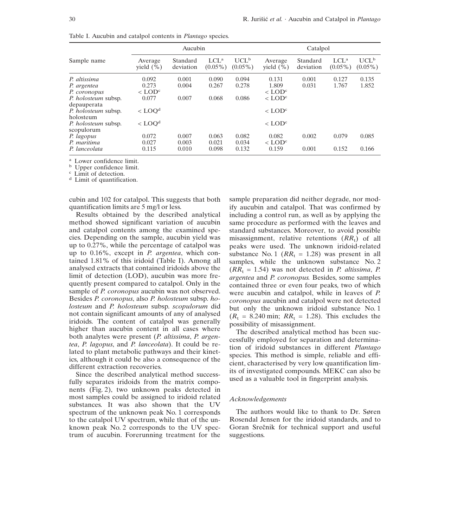|                                          | Aucubin                  |                       |                       |                       | Catalpol                 |                       |                                |                       |
|------------------------------------------|--------------------------|-----------------------|-----------------------|-----------------------|--------------------------|-----------------------|--------------------------------|-----------------------|
| Sample name                              | Average<br>vield $(\% )$ | Standard<br>deviation | $LCL^a$<br>$(0.05\%)$ | $UCL^b$<br>$(0.05\%)$ | Average<br>vield $(\% )$ | Standard<br>deviation | LCL <sup>a</sup><br>$(0.05\%)$ | $UCL^b$<br>$(0.05\%)$ |
| P. altissima                             | 0.092                    | 0.001                 | 0.090                 | 0.094                 | 0.131                    | 0.001                 | 0.127                          | 0.135                 |
| P. argentea                              | 0.273                    | 0.004                 | 0.267                 | 0.278                 | 1.809                    | 0.031                 | 1.767                          | 1.852                 |
| P. coronopus                             | $<$ LOD <sup>c</sup>     |                       |                       |                       | $<$ LOD <sup>c</sup>     |                       |                                |                       |
| P. holosteum subsp.<br>depauperata       | 0.077                    | 0.007                 | 0.068                 | 0.086                 | $<$ LOD <sup>c</sup>     |                       |                                |                       |
| <i>P. holosteum</i> subsp.<br>holosteum  | $<$ LOO <sup>d</sup>     |                       |                       |                       | $<$ LOD <sup>c</sup>     |                       |                                |                       |
| <i>P. holosteum</i> subsp.<br>scopulorum | $<$ LOO <sup>d</sup>     |                       |                       |                       | $<$ LOD <sup>c</sup>     |                       |                                |                       |
| P. lagopus                               | 0.072                    | 0.007                 | 0.063                 | 0.082                 | 0.082                    | 0.002                 | 0.079                          | 0.085                 |
| P. maritima                              | 0.027                    | 0.003                 | 0.021                 | 0.034                 | $\rm <$ LOD <sup>c</sup> |                       |                                |                       |
| P. lanceolata                            | 0.115                    | 0.010                 | 0.098                 | 0.132                 | 0.159                    | 0.001                 | 0.152                          | 0.166                 |

Table I. Aucubin and catalpol contents in *Plantago* species.

<sup>a</sup> Lower confidence limit.<br><sup>b</sup> Upper confidence limit.<br><sup>c</sup> Limit of detection.<br><sup>d</sup> Limit of quantification.

cubin and 102 for catalpol. This suggests that both quantification limits are 5 mg/l or less.

Results obtained by the described analytical method showed significant variation of aucubin and catalpol contents among the examined species. Depending on the sample, aucubin yield was up to 0.27%, while the percentage of catalpol was up to 0.16%, except in *P. argentea*, which contained 1.81% of this iridoid (Table I). Among all analysed extracts that contained iridoids above the limit of detection (LOD), aucubin was more frequently present compared to catalpol. Only in the sample of *P. coronopus* aucubin was not observed. Besides *P. coronopus*, also *P. holosteum* subsp. *holosteum* and *P. holosteum* subsp. *scopulorum* did not contain significant amounts of any of analysed iridoids. The content of catalpol was generally higher than aucubin content in all cases where both analytes were present (*P. altissima*, *P. argentea*, *P. lagopus*, and *P. lanceolata*). It could be related to plant metabolic pathways and their kinetics, although it could be also a consequence of the different extraction recoveries.

Since the described analytical method successfully separates iridoids from the matrix components (Fig. 2), two unknown peaks detected in most samples could be assigned to iridoid related substances. It was also shown that the UV spectrum of the unknown peak No. 1 corresponds to the catalpol UV spectrum, while that of the unknown peak No. 2 corresponds to the UV spectrum of aucubin. Forerunning treatment for the

sample preparation did neither degrade, nor modify aucubin and catalpol. That was confirmed by including a control run, as well as by applying the same procedure as performed with the leaves and standard substances. Moreover, to avoid possible misassignment, relative retentions  $(RR_t)$  of all peaks were used. The unknown iridoid-related substance No. 1 ( $RR_t = 1.28$ ) was present in all samples, while the unknown substance No. 2  $(RR_t = 1.54)$  was not detected in *P. altissima*, *P. argentea* and *P. coronopus.* Besides, some samples contained three or even four peaks, two of which were aucubin and catalpol, while in leaves of *P. coronopus* aucubin and catalpol were not detected but only the unknown iridoid substance No. 1  $(R_t = 8.240 \text{ min}; RR_t = 1.28)$ . This excludes the possibility of misassignment.

The described analytical method has been successfully employed for separation and determination of iridoid substances in different *Plantago* species. This method is simple, reliable and efficient, characterised by very low quantification limits of investigated compounds. MEKC can also be used as a valuable tool in fingerprint analysis.

#### *Acknowledgements*

The authors would like to thank to Dr. Søren Rosendal Jensen for the iridoid standards, and to Goran Srečnik for technical support and useful suggestions.